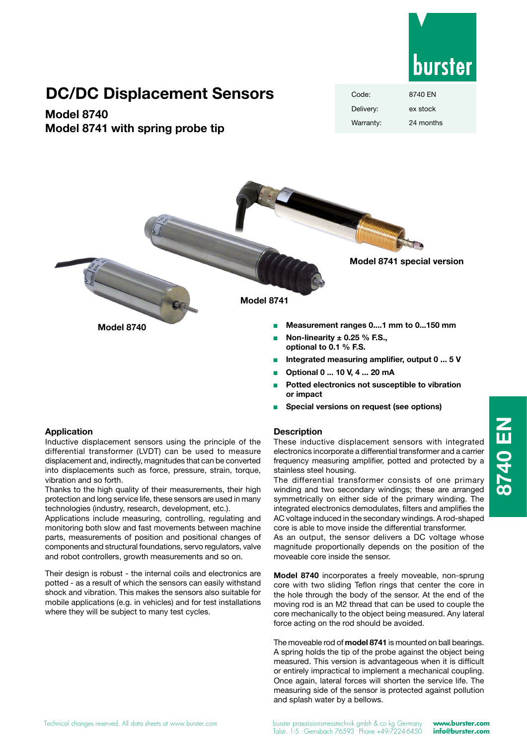

# **DC/DC Displacement Sensors**

## **Model 8740 Model 8741 with spring probe tip**

| Code:     | 8740 EN   |
|-----------|-----------|
| Delivery: | ex stock  |
| Warranty: | 24 months |



- <sup>n</sup> **Optional 0 ... 10 V, 4 ... 20 mA**
- Potted electronics not susceptible to vibration **or impact**
- <sup>Q</sup> **Special versions on request (see options)**

#### **Description**

These inductive displacement sensors with integrated electronics incorporate a differential transformer and a carrier frequency measuring amplifier, potted and protected by a stainless steel housing.

The differential transformer consists of one primary winding and two secondary windings; these are arranged symmetrically on either side of the primary winding. The integrated electronics demodulates, filters and amplifies the AC voltage induced in the secondary windings. A rod-shaped core is able to move inside the differential transformer.

As an output, the sensor delivers a DC voltage whose magnitude proportionally depends on the position of the moveable core inside the sensor.

**Model 8740** incorporates a freely moveable, non-sprung core with two sliding Teflon rings that center the core in the hole through the body of the sensor. At the end of the moving rod is an M2 thread that can be used to couple the core mechanically to the object being measured. Any lateral force acting on the rod should be avoided.

The moveable rod of **model 8741** is mounted on ball bearings. A spring holds the tip of the probe against the object being measured. This version is advantageous when it is difficult or entirely impractical to implement a mechanical coupling. Once again, lateral forces will shorten the service life. The measuring side of the sensor is protected against pollution and splash water by a bellows.

#### **Application**

Inductive displacement sensors using the principle of the differential transformer (LVDT) can be used to measure displacement and, indirectly, magnitudes that can be converted into displacements such as force, pressure, strain, torque, vibration and so forth.

Thanks to the high quality of their measurements, their high protection and long service life, these sensors are used in many technologies (industry, research, development, etc.).

Applications include measuring, controlling, regulating and monitoring both slow and fast movements between machine parts, measurements of position and positional changes of components and structural foundations, servo regulators, valve and robot controllers, growth measurements and so on.

Their design is robust - the internal coils and electronics are potted - as a result of which the sensors can easily withstand shock and vibration. This makes the sensors also suitable for mobile applications (e.g. in vehicles) and for test installations where they will be subject to many test cycles.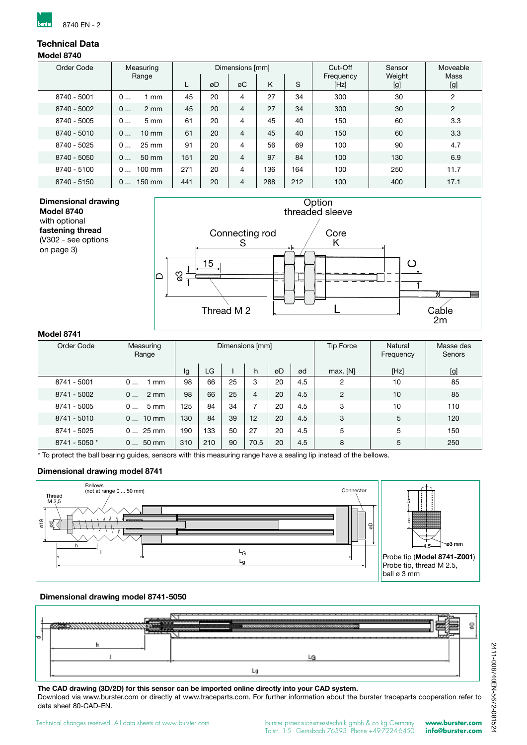

## **Technical Data**

#### **Model 8740**

| Order Code  | Measuring             | Dimensions [mm] |    |                | Cut-Off | Sensor<br>Weight | Moveable<br>Mass  |     |                |
|-------------|-----------------------|-----------------|----|----------------|---------|------------------|-------------------|-----|----------------|
|             | Range                 |                 | øD | øC             | Κ       | S                | Frequency<br>[Hz] | [g] | [g]            |
| 8740 - 5001 | 0<br>mm               | 45              | 20 | 4              | 27      | 34               | 300               | 30  | $\overline{2}$ |
| 8740 - 5002 | 0<br>$2 \, \text{mm}$ | 45              | 20 | $\overline{4}$ | 27      | 34               | 300               | 30  | $\overline{2}$ |
| 8740 - 5005 | 5 <sub>mm</sub><br>0  | 61              | 20 | 4              | 45      | 40               | 150               | 60  | 3.3            |
| 8740 - 5010 | 0<br>$10 \text{ mm}$  | 61              | 20 | $\overline{4}$ | 45      | 40               | 150               | 60  | 3.3            |
| 8740 - 5025 | $25 \text{ mm}$<br>0  | 91              | 20 | 4              | 56      | 69               | 100               | 90  | 4.7            |
| 8740 - 5050 | 0<br>50 mm            | 151             | 20 | $\overline{4}$ | 97      | 84               | 100               | 130 | 6.9            |
| 8740 - 5100 | $100 \text{ mm}$<br>0 | 271             | 20 | 4              | 136     | 164              | 100               | 250 | 11.7           |
| 8740 - 5150 | $150 \text{ mm}$<br>0 | 441             | 20 | $\overline{4}$ | 288     | 212              | 100               | 400 | 17.1           |

#### **Dimensional drawing Model 8740** with optional **fastening thread** (V302 - see options on page 3)



### **Model 8741**

| .             |                       |                 |     |    |      |    |     |                  |                      |                     |
|---------------|-----------------------|-----------------|-----|----|------|----|-----|------------------|----------------------|---------------------|
| Order Code    | Measuring<br>Range    | Dimensions [mm] |     |    |      |    |     | <b>Tip Force</b> | Natural<br>Frequency | Masse des<br>Senors |
|               |                       | lg              | LG  |    | h    | øD | ød  | max. [N]         | [Hz]                 | [g]                 |
| 8741 - 5001   | 0<br>mm               | 98              | 66  | 25 | 3    | 20 | 4.5 | 2                | 10                   | 85                  |
| 8741 - 5002   | $2 \, \text{mm}$<br>0 | 98              | 66  | 25 | 4    | 20 | 4.5 | $\overline{2}$   | 10                   | 85                  |
| 8741 - 5005   | $5 \, \text{mm}$<br>0 | 125             | 84  | 34 |      | 20 | 4.5 | 3                | 10                   | 110                 |
| 8741 - 5010   | $010$ mm              | 130             | 84  | 39 | 12   | 20 | 4.5 | 3                | 5                    | 120                 |
| 8741 - 5025   | $025$ mm              | 190             | 133 | 50 | 27   | 20 | 4.5 | 5                | 5                    | 150                 |
| 8741 - 5050 * | 50 mm<br>0            | 310             | 210 | 90 | 70.5 | 20 | 4.5 | 8                | 5                    | 250                 |

\* To protect the ball bearing guides, sensors with this measuring range have a sealing lip instead of the bellows.

#### **Dimensional drawing model 8741**



#### **Dimensional drawing model 8741-5050**



**The CAD drawing (3D/2D) for this sensor can be imported online directly into your CAD system.** Download via www.burster.com or directly at www.traceparts.com. For further information about the burster traceparts cooperation refer to data sheet 80-CAD-EN.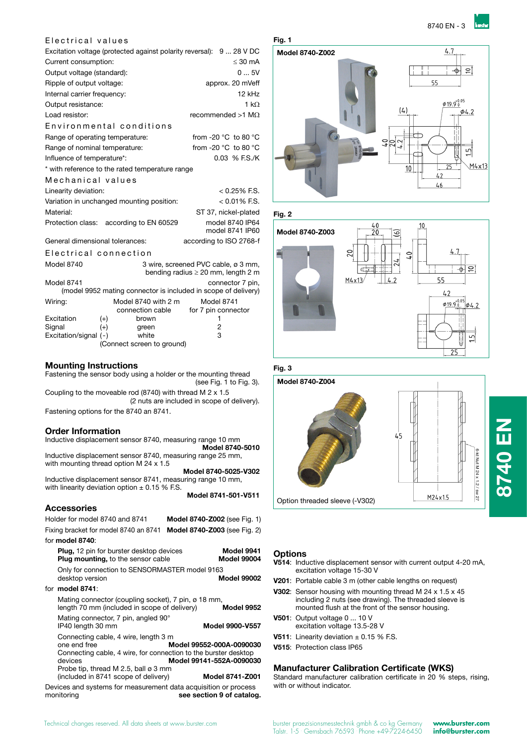#### Electrical values

| Excitation voltage (protected against polarity reversal): 9  28 V DC |                                                                |                                     |                                         |                                          |  |  |
|----------------------------------------------------------------------|----------------------------------------------------------------|-------------------------------------|-----------------------------------------|------------------------------------------|--|--|
| $\leq 30$ mA<br>Current consumption:                                 |                                                                |                                     |                                         |                                          |  |  |
| 05V<br>Output voltage (standard):                                    |                                                                |                                     |                                         |                                          |  |  |
| Ripple of output voltage:<br>approx. 20 mVeff                        |                                                                |                                     |                                         |                                          |  |  |
| Internal carrier frequency:                                          |                                                                |                                     |                                         | 12 kHz                                   |  |  |
| Output resistance:                                                   |                                                                |                                     |                                         | 1 k $\Omega$                             |  |  |
| Load resistor:                                                       |                                                                |                                     |                                         | recommended $>1$ M $\Omega$              |  |  |
| Environmental conditions                                             |                                                                |                                     |                                         |                                          |  |  |
| Range of operating temperature:                                      |                                                                |                                     |                                         | from -20 $^{\circ}$ C to 80 $^{\circ}$ C |  |  |
| Range of nominal temperature:                                        |                                                                |                                     |                                         | from -20 $^{\circ}$ C to 80 $^{\circ}$ C |  |  |
| Influence of temperature*:                                           |                                                                |                                     |                                         | 0.03 % F.S./K                            |  |  |
| * with reference to the rated temperature range                      |                                                                |                                     |                                         |                                          |  |  |
| Mechanical values                                                    |                                                                |                                     |                                         |                                          |  |  |
| Linearity deviation:                                                 |                                                                |                                     |                                         | $< 0.25\%$ F.S.                          |  |  |
| Variation in unchanged mounting position:                            |                                                                |                                     |                                         | $< 0.01\%$ F.S.                          |  |  |
| Material:                                                            |                                                                |                                     |                                         | ST 37, nickel-plated                     |  |  |
| Protection class: according to EN 60529                              |                                                                |                                     |                                         | model 8740 IP64<br>model 8741 IP60       |  |  |
| General dimensional tolerances:                                      |                                                                |                                     | according to ISO 2768-f                 |                                          |  |  |
| Electrical connection                                                |                                                                |                                     |                                         |                                          |  |  |
| Model 8740                                                           |                                                                | 3 wire, screened PVC cable, ø 3 mm, | bending radius $\geq 20$ mm, length 2 m |                                          |  |  |
| Model 8741                                                           | (model 9952 mating connector is included in scope of delivery) |                                     |                                         | connector 7 pin,                         |  |  |
| Wiring:                                                              |                                                                | Model 8740 with 2 m                 | Model 8741                              |                                          |  |  |
|                                                                      |                                                                | connection cable                    | for 7 pin connector                     |                                          |  |  |
| Excitation                                                           | $(+)$                                                          | brown                               | 1                                       |                                          |  |  |
| Signal<br>Excitation/signal (-)                                      | $^{(+)}$                                                       | green<br>white                      | 2<br>3                                  |                                          |  |  |
| (Connect screen to ground)                                           |                                                                |                                     |                                         |                                          |  |  |
|                                                                      |                                                                |                                     |                                         |                                          |  |  |

**Mounting Instructions**<br>**Fig. 3** Fastening the sensor body using a holder or the mounting thread (see Fig. 1 to Fig. 3). Coupling to the moveable rod (8740) with thread M 2 x 1.5 (2 nuts are included in scope of delivery). Fastening options for the 8740 an 8741.

#### **Order Information**

Inductive displacement sensor 8740, measuring range 10 mm  **Model 8740-5010** Inductive displacement sensor 8740, measuring range 25 mm,

with mounting thread option M 24 x 1.5 **Model 8740-5025-V302** Inductive displacement sensor 8741, measuring range 10 mm, with linearity deviation option  $\pm$  0.15 % F.S.

**Model 8741-501-V511**

#### **Accessories**

| AuuuJuliuJ                                                                                                                                                                                                                     |                                                                         |
|--------------------------------------------------------------------------------------------------------------------------------------------------------------------------------------------------------------------------------|-------------------------------------------------------------------------|
| Holder for model 8740 and 8741                                                                                                                                                                                                 | Model 8740-Z002 (see Fig. 1)                                            |
| Fixing bracket for model 8740 an 8741                                                                                                                                                                                          | <b>Model 8740-Z003</b> (see Fig. 2)                                     |
| for <b>model 8740</b> :                                                                                                                                                                                                        |                                                                         |
| <b>Plug, 12 pin for burster desktop devices</b><br><b>Plug mounting, to the sensor cable</b>                                                                                                                                   | Model 9941<br><b>Model 99004</b>                                        |
| Only for connection to SENSORMASTER model 9163                                                                                                                                                                                 |                                                                         |
| desktop version                                                                                                                                                                                                                | <b>Model 99002</b>                                                      |
| for <b>model 8741</b> :                                                                                                                                                                                                        |                                                                         |
| Mating connector (coupling socket), 7 pin, ø 18 mm,<br>length 70 mm (included in scope of delivery)                                                                                                                            | Model 9952                                                              |
| Mating connector, 7 pin, angled 90°<br>IP40 length 30 mm                                                                                                                                                                       | Model 9900-V557                                                         |
| Connecting cable, 4 wire, length 3 m<br>one end free<br>Connecting cable, 4 wire, for connection to the burster desktop<br>devices<br>Probe tip, thread M 2.5, ball $\varnothing$ 3 mm<br>(included in 8741 scope of delivery) | Model 99552-000A-0090030<br>Model 99141-552A-0090030<br>Model 8741-Z001 |
| Devices and systems for measurement data acquisition or process                                                                                                                                                                |                                                                         |

monitoring **see section 9 of catalog.** 



### **Fig. 2**





#### **Options**

- **V514**: Inductive displacement sensor with current output 4-20 mA, excitation voltage 15-30 V
- **V201**: Portable cable 3 m (other cable lengths on request)
- **V302**: Sensor housing with mounting thread M 24 x 1.5 x 45 including 2 nuts (see drawing). The threaded sleeve is mounted flush at the front of the sensor housing.
- **V501**: Output voltage 0 ... 10 V excitation voltage 13.5-28 V
- **V511:** Linearity deviation  $\pm$  0.15 % F.S.
- **V515**: Protection class IP65

#### **Manufacturer Calibration Certificate (WKS)**

Standard manufacturer calibration certificate in 20 % steps, rising, with or without indicator.